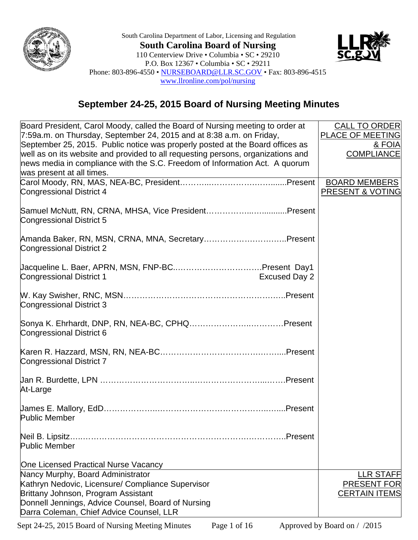



## **September 24-25, 2015 Board of Nursing Meeting Minutes**

| Board President, Carol Moody, called the Board of Nursing meeting to order at         | <b>CALL TO ORDER</b> |
|---------------------------------------------------------------------------------------|----------------------|
| 7:59a.m. on Thursday, September 24, 2015 and at 8:38 a.m. on Friday,                  | PLACE OF MEETING     |
| September 25, 2015. Public notice was properly posted at the Board offices as         | & FOIA               |
| well as on its website and provided to all requesting persons, organizations and      | <b>COMPLIANCE</b>    |
| news media in compliance with the S.C. Freedom of Information Act. A quorum           |                      |
| was present at all times.                                                             |                      |
|                                                                                       | <b>BOARD MEMBERS</b> |
| Congressional District 4                                                              | PRESENT & VOTING     |
| Samuel McNutt, RN, CRNA, MHSA, Vice PresidentPresent<br>Congressional District 5      |                      |
| Amanda Baker, RN, MSN, CRNA, MNA, SecretaryPresent<br><b>Congressional District 2</b> |                      |
| <b>Excused Day 2</b><br><b>Congressional District 1</b>                               |                      |
| <b>Congressional District 3</b>                                                       |                      |
| Sonya K. Ehrhardt, DNP, RN, NEA-BC, CPHQPresent<br>Congressional District 6           |                      |
| Congressional District 7                                                              |                      |
| At-Large                                                                              |                      |
| <b>Public Member</b>                                                                  |                      |
| Neil B. Lipsitz<br>Public Member                                                      |                      |
| One Licensed Practical Nurse Vacancy                                                  |                      |
| Nancy Murphy, Board Administrator                                                     | <b>LLR STAFF</b>     |
| Kathryn Nedovic, Licensure/ Compliance Supervisor                                     | <b>PRESENT FOR</b>   |
| Brittany Johnson, Program Assistant                                                   | <b>CERTAIN ITEMS</b> |
| Donnell Jennings, Advice Counsel, Board of Nursing                                    |                      |
| Darra Coleman, Chief Advice Counsel, LLR                                              |                      |

Sept 24-25, 2015 Board of Nursing Meeting Minutes Page 1 of 16 Approved by Board on / /2015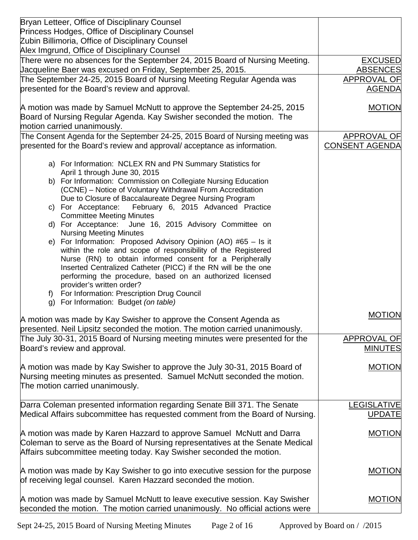| Bryan Letteer, Office of Disciplinary Counsel<br>Princess Hodges, Office of Disciplinary Counsel                                                          |                                             |
|-----------------------------------------------------------------------------------------------------------------------------------------------------------|---------------------------------------------|
| Zubin Billimoria, Office of Disciplinary Counsel                                                                                                          |                                             |
| Alex Imgrund, Office of Disciplinary Counsel                                                                                                              |                                             |
| There were no absences for the September 24, 2015 Board of Nursing Meeting.                                                                               | <b>EXCUSED</b>                              |
| Jacqueline Baer was excused on Friday, September 25, 2015.                                                                                                | <b>ABSENCES</b>                             |
| The September 24-25, 2015 Board of Nursing Meeting Regular Agenda was                                                                                     | APPROVAL OF                                 |
| presented for the Board's review and approval.                                                                                                            | <b>AGENDA</b>                               |
| A motion was made by Samuel McNutt to approve the September 24-25, 2015                                                                                   | <b>MOTION</b>                               |
| Board of Nursing Regular Agenda. Kay Swisher seconded the motion. The                                                                                     |                                             |
| motion carried unanimously.                                                                                                                               |                                             |
| The Consent Agenda for the September 24-25, 2015 Board of Nursing meeting was<br>presented for the Board's review and approval/acceptance as information. | <b>APPROVAL OF</b><br><b>CONSENT AGENDA</b> |
| a) For Information: NCLEX RN and PN Summary Statistics for                                                                                                |                                             |
| April 1 through June 30, 2015                                                                                                                             |                                             |
| b) For Information: Commission on Collegiate Nursing Education<br>(CCNE) - Notice of Voluntary Withdrawal From Accreditation                              |                                             |
| Due to Closure of Baccalaureate Degree Nursing Program                                                                                                    |                                             |
| c) For Acceptance: February 6, 2015 Advanced Practice                                                                                                     |                                             |
| <b>Committee Meeting Minutes</b>                                                                                                                          |                                             |
| d) For Acceptance: June 16, 2015 Advisory Committee on                                                                                                    |                                             |
| <b>Nursing Meeting Minutes</b><br>e) For Information: Proposed Advisory Opinion (AO) #65 - Is it                                                          |                                             |
| within the role and scope of responsibility of the Registered                                                                                             |                                             |
| Nurse (RN) to obtain informed consent for a Peripherally                                                                                                  |                                             |
| Inserted Centralized Catheter (PICC) if the RN will be the one                                                                                            |                                             |
| performing the procedure, based on an authorized licensed<br>provider's written order?                                                                    |                                             |
| For Information: Prescription Drug Council<br>f)                                                                                                          |                                             |
| g) For Information: Budget (on table)                                                                                                                     |                                             |
|                                                                                                                                                           | <b>MOTION</b>                               |
| A motion was made by Kay Swisher to approve the Consent Agenda as                                                                                         |                                             |
| presented. Neil Lipsitz seconded the motion. The motion carried unanimously.                                                                              |                                             |
| The July 30-31, 2015 Board of Nursing meeting minutes were presented for the                                                                              | APPROVAL OF                                 |
| Board's review and approval.                                                                                                                              | <b>MINUTES</b>                              |
| A motion was made by Kay Swisher to approve the July 30-31, 2015 Board of                                                                                 | <b>MOTION</b>                               |
| Nursing meeting minutes as presented. Samuel McNutt seconded the motion.                                                                                  |                                             |
| The motion carried unanimously.                                                                                                                           |                                             |
| Darra Coleman presented information regarding Senate Bill 371. The Senate                                                                                 | <b>LEGISLATIVE</b>                          |
| Medical Affairs subcommittee has requested comment from the Board of Nursing.                                                                             | <b>UPDATE</b>                               |
|                                                                                                                                                           |                                             |
| A motion was made by Karen Hazzard to approve Samuel McNutt and Darra                                                                                     | <b>MOTION</b>                               |
| Coleman to serve as the Board of Nursing representatives at the Senate Medical                                                                            |                                             |
| Affairs subcommittee meeting today. Kay Swisher seconded the motion.                                                                                      |                                             |
|                                                                                                                                                           |                                             |
| A motion was made by Kay Swisher to go into executive session for the purpose<br>of receiving legal counsel. Karen Hazzard seconded the motion.           | <b>MOTION</b>                               |
|                                                                                                                                                           |                                             |
| A motion was made by Samuel McNutt to leave executive session. Kay Swisher                                                                                | <b>MOTION</b>                               |
| seconded the motion. The motion carried unanimously. No official actions were                                                                             |                                             |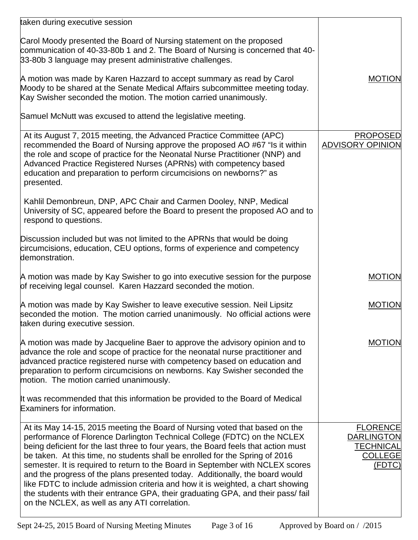| taken during executive session                                                                                                                                                                                                                                                                                                                                                                                                                                                                                                                                                                                                                                                                                         |                                                                                      |
|------------------------------------------------------------------------------------------------------------------------------------------------------------------------------------------------------------------------------------------------------------------------------------------------------------------------------------------------------------------------------------------------------------------------------------------------------------------------------------------------------------------------------------------------------------------------------------------------------------------------------------------------------------------------------------------------------------------------|--------------------------------------------------------------------------------------|
| Carol Moody presented the Board of Nursing statement on the proposed<br>communication of 40-33-80b 1 and 2. The Board of Nursing is concerned that 40-<br>33-80b 3 language may present administrative challenges.                                                                                                                                                                                                                                                                                                                                                                                                                                                                                                     |                                                                                      |
| A motion was made by Karen Hazzard to accept summary as read by Carol<br>Moody to be shared at the Senate Medical Affairs subcommittee meeting today.<br>Kay Swisher seconded the motion. The motion carried unanimously.                                                                                                                                                                                                                                                                                                                                                                                                                                                                                              | <b>MOTION</b>                                                                        |
| Samuel McNutt was excused to attend the legislative meeting.                                                                                                                                                                                                                                                                                                                                                                                                                                                                                                                                                                                                                                                           |                                                                                      |
| At its August 7, 2015 meeting, the Advanced Practice Committee (APC)<br>recommended the Board of Nursing approve the proposed AO #67 "Is it within<br>the role and scope of practice for the Neonatal Nurse Practitioner (NNP) and<br>Advanced Practice Registered Nurses (APRNs) with competency based<br>education and preparation to perform circumcisions on newborns?" as<br>presented.                                                                                                                                                                                                                                                                                                                           | <b>PROPOSED</b><br><b>ADVISORY OPINION</b>                                           |
| Kahlil Demonbreun, DNP, APC Chair and Carmen Dooley, NNP, Medical<br>University of SC, appeared before the Board to present the proposed AO and to<br>respond to questions.                                                                                                                                                                                                                                                                                                                                                                                                                                                                                                                                            |                                                                                      |
| Discussion included but was not limited to the APRNs that would be doing<br>circumcisions, education, CEU options, forms of experience and competency<br>demonstration.                                                                                                                                                                                                                                                                                                                                                                                                                                                                                                                                                |                                                                                      |
| A motion was made by Kay Swisher to go into executive session for the purpose<br>of receiving legal counsel. Karen Hazzard seconded the motion.                                                                                                                                                                                                                                                                                                                                                                                                                                                                                                                                                                        | <b>MOTION</b>                                                                        |
| A motion was made by Kay Swisher to leave executive session. Neil Lipsitz<br>seconded the motion. The motion carried unanimously. No official actions were<br>taken during executive session.                                                                                                                                                                                                                                                                                                                                                                                                                                                                                                                          | <b>MOTION</b>                                                                        |
| A motion was made by Jacqueline Baer to approve the advisory opinion and to<br>advance the role and scope of practice for the neonatal nurse practitioner and<br>advanced practice registered nurse with competency based on education and<br>preparation to perform circumcisions on newborns. Kay Swisher seconded the<br>motion. The motion carried unanimously.                                                                                                                                                                                                                                                                                                                                                    | <b>MOTION</b>                                                                        |
| It was recommended that this information be provided to the Board of Medical<br>Examiners for information.                                                                                                                                                                                                                                                                                                                                                                                                                                                                                                                                                                                                             |                                                                                      |
| At its May 14-15, 2015 meeting the Board of Nursing voted that based on the<br>performance of Florence Darlington Technical College (FDTC) on the NCLEX<br>being deficient for the last three to four years, the Board feels that action must<br>be taken. At this time, no students shall be enrolled for the Spring of 2016<br>semester. It is required to return to the Board in September with NCLEX scores<br>and the progress of the plans presented today. Additionally, the board would<br>like FDTC to include admission criteria and how it is weighted, a chart showing<br>the students with their entrance GPA, their graduating GPA, and their pass/fail<br>on the NCLEX, as well as any ATI correlation. | <b>FLORENCE</b><br><b>DARLINGTON</b><br><b>TECHNICAL</b><br><b>COLLEGE</b><br>(FDTC) |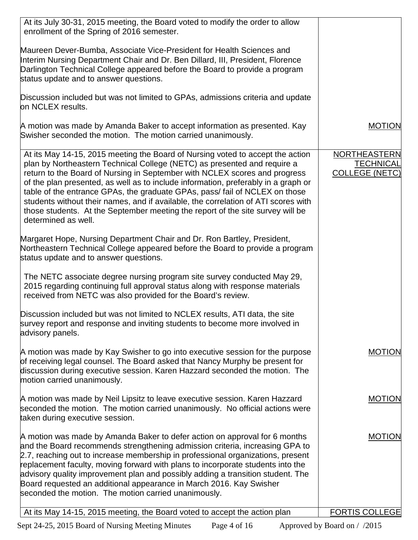| At its July 30-31, 2015 meeting, the Board voted to modify the order to allow<br>enrollment of the Spring of 2016 semester.                                                                                                                                                                                                                                                                                                                                                                                                                                                                                  |                                                           |
|--------------------------------------------------------------------------------------------------------------------------------------------------------------------------------------------------------------------------------------------------------------------------------------------------------------------------------------------------------------------------------------------------------------------------------------------------------------------------------------------------------------------------------------------------------------------------------------------------------------|-----------------------------------------------------------|
| Maureen Dever-Bumba, Associate Vice-President for Health Sciences and<br>Interim Nursing Department Chair and Dr. Ben Dillard, III, President, Florence<br>Darlington Technical College appeared before the Board to provide a program<br>status update and to answer questions.                                                                                                                                                                                                                                                                                                                             |                                                           |
| Discussion included but was not limited to GPAs, admissions criteria and update<br>on NCLEX results.                                                                                                                                                                                                                                                                                                                                                                                                                                                                                                         |                                                           |
| A motion was made by Amanda Baker to accept information as presented. Kay<br>Swisher seconded the motion. The motion carried unanimously.                                                                                                                                                                                                                                                                                                                                                                                                                                                                    | <b>MOTION</b>                                             |
| At its May 14-15, 2015 meeting the Board of Nursing voted to accept the action<br>plan by Northeastern Technical College (NETC) as presented and require a<br>return to the Board of Nursing in September with NCLEX scores and progress<br>of the plan presented, as well as to include information, preferably in a graph or<br>table of the entrance GPAs, the graduate GPAs, pass/ fail of NCLEX on those<br>students without their names, and if available, the correlation of ATI scores with<br>those students. At the September meeting the report of the site survey will be<br>determined as well. | NORTHEASTERN<br><b>TECHNICAL</b><br><b>COLLEGE (NETC)</b> |
| Margaret Hope, Nursing Department Chair and Dr. Ron Bartley, President,<br>Northeastern Technical College appeared before the Board to provide a program<br>status update and to answer questions.                                                                                                                                                                                                                                                                                                                                                                                                           |                                                           |
| The NETC associate degree nursing program site survey conducted May 29,<br>2015 regarding continuing full approval status along with response materials<br>received from NETC was also provided for the Board's review.                                                                                                                                                                                                                                                                                                                                                                                      |                                                           |
| Discussion included but was not limited to NCLEX results, ATI data, the site<br>survey report and response and inviting students to become more involved in<br>advisory panels.                                                                                                                                                                                                                                                                                                                                                                                                                              |                                                           |
| A motion was made by Kay Swisher to go into executive session for the purpose<br>of receiving legal counsel. The Board asked that Nancy Murphy be present for<br>discussion during executive session. Karen Hazzard seconded the motion. The<br>motion carried unanimously.                                                                                                                                                                                                                                                                                                                                  | <b>MOTION</b>                                             |
| A motion was made by Neil Lipsitz to leave executive session. Karen Hazzard<br>seconded the motion. The motion carried unanimously. No official actions were<br>taken during executive session.                                                                                                                                                                                                                                                                                                                                                                                                              | <b>MOTION</b>                                             |
| A motion was made by Amanda Baker to defer action on approval for 6 months<br>and the Board recommends strengthening admission criteria, increasing GPA to<br>2.7, reaching out to increase membership in professional organizations, present<br>replacement faculty, moving forward with plans to incorporate students into the<br>advisory quality improvement plan and possibly adding a transition student. The<br>Board requested an additional appearance in March 2016. Kay Swisher<br>seconded the motion. The motion carried unanimously.                                                           | <b>MOTION</b>                                             |
| At its May 14-15, 2015 meeting, the Board voted to accept the action plan                                                                                                                                                                                                                                                                                                                                                                                                                                                                                                                                    | <b>FORTIS COLLEGE</b>                                     |

Sept 24-25, 2015 Board of Nursing Meeting Minutes Page 4 of 16 Approved by Board on / /2015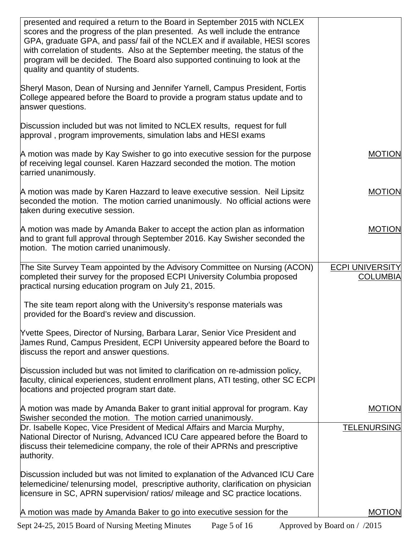| presented and required a return to the Board in September 2015 with NCLEX<br>scores and the progress of the plan presented. As well include the entrance<br>GPA, graduate GPA, and pass/ fail of the NCLEX and if available, HESI scores<br>with correlation of students. Also at the September meeting, the status of the<br>program will be decided. The Board also supported continuing to look at the<br>quality and quantity of students. |                                           |
|------------------------------------------------------------------------------------------------------------------------------------------------------------------------------------------------------------------------------------------------------------------------------------------------------------------------------------------------------------------------------------------------------------------------------------------------|-------------------------------------------|
| Sheryl Mason, Dean of Nursing and Jennifer Yarnell, Campus President, Fortis<br>College appeared before the Board to provide a program status update and to<br>answer questions.                                                                                                                                                                                                                                                               |                                           |
| Discussion included but was not limited to NCLEX results, request for full<br>approval, program improvements, simulation labs and HESI exams                                                                                                                                                                                                                                                                                                   |                                           |
| A motion was made by Kay Swisher to go into executive session for the purpose<br>of receiving legal counsel. Karen Hazzard seconded the motion. The motion<br>carried unanimously.                                                                                                                                                                                                                                                             | <b>MOTION</b>                             |
| A motion was made by Karen Hazzard to leave executive session. Neil Lipsitz<br>seconded the motion. The motion carried unanimously. No official actions were<br>taken during executive session.                                                                                                                                                                                                                                                | <b>MOTION</b>                             |
| A motion was made by Amanda Baker to accept the action plan as information<br>and to grant full approval through September 2016. Kay Swisher seconded the<br>motion. The motion carried unanimously.                                                                                                                                                                                                                                           | <b>MOTION</b>                             |
| The Site Survey Team appointed by the Advisory Committee on Nursing (ACON)<br>completed their survey for the proposed ECPI University Columbia proposed<br>practical nursing education program on July 21, 2015.                                                                                                                                                                                                                               | <b>ECPI UNIVERSITY</b><br><b>COLUMBIA</b> |
| The site team report along with the University's response materials was<br>provided for the Board's review and discussion.                                                                                                                                                                                                                                                                                                                     |                                           |
| Yvette Spees, Director of Nursing, Barbara Larar, Senior Vice President and<br>James Rund, Campus President, ECPI University appeared before the Board to<br>discuss the report and answer questions.                                                                                                                                                                                                                                          |                                           |
| Discussion included but was not limited to clarification on re-admission policy,<br>faculty, clinical experiences, student enrollment plans, ATI testing, other SC ECPI<br>locations and projected program start date.                                                                                                                                                                                                                         |                                           |
| A motion was made by Amanda Baker to grant initial approval for program. Kay<br>Swisher seconded the motion. The motion carried unanimously.                                                                                                                                                                                                                                                                                                   | <b>MOTION</b>                             |
| Dr. Isabelle Kopec, Vice President of Medical Affairs and Marcia Murphy,<br>National Director of Nurisng, Advanced ICU Care appeared before the Board to<br>discuss their telemedicine company, the role of their APRNs and prescriptive<br>authority.                                                                                                                                                                                         | <b>TELENURSING</b>                        |
| Discussion included but was not limited to explanation of the Advanced ICU Care<br>telemedicine/ telenursing model, prescriptive authority, clarification on physician<br>licensure in SC, APRN supervision/ ratios/ mileage and SC practice locations.                                                                                                                                                                                        |                                           |
| A motion was made by Amanda Baker to go into executive session for the                                                                                                                                                                                                                                                                                                                                                                         | <b>MOTION</b>                             |

Sept 24-25, 2015 Board of Nursing Meeting Minutes Page 5 of 16 Approved by Board on / /2015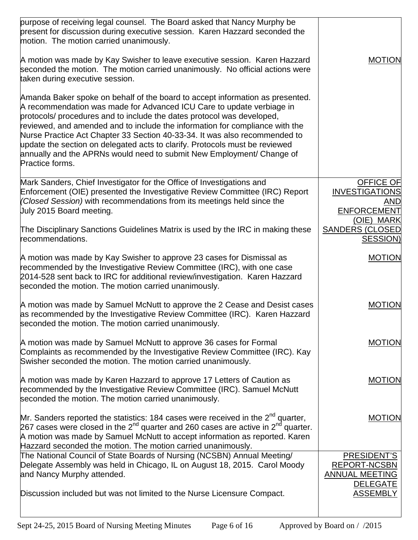| purpose of receiving legal counsel. The Board asked that Nancy Murphy be<br>present for discussion during executive session. Karen Hazzard seconded the<br>motion. The motion carried unanimously.                                                                                                                                                                                                                                                                                                                                                                        |                                                                                |
|---------------------------------------------------------------------------------------------------------------------------------------------------------------------------------------------------------------------------------------------------------------------------------------------------------------------------------------------------------------------------------------------------------------------------------------------------------------------------------------------------------------------------------------------------------------------------|--------------------------------------------------------------------------------|
| A motion was made by Kay Swisher to leave executive session. Karen Hazzard<br>seconded the motion. The motion carried unanimously. No official actions were<br>taken during executive session.                                                                                                                                                                                                                                                                                                                                                                            | <b>MOTION</b>                                                                  |
| Amanda Baker spoke on behalf of the board to accept information as presented.<br>A recommendation was made for Advanced ICU Care to update verbiage in<br>protocols/ procedures and to include the dates protocol was developed,<br>reviewed, and amended and to include the information for compliance with the<br>Nurse Practice Act Chapter 33 Section 40-33-34. It was also recommended to<br>update the section on delegated acts to clarify. Protocols must be reviewed<br>annually and the APRNs would need to submit New Employment/ Change of<br>Practice forms. |                                                                                |
| Mark Sanders, Chief Investigator for the Office of Investigations and<br>Enforcement (OIE) presented the Investigative Review Committee (IRC) Report<br>(Closed Session) with recommendations from its meetings held since the<br>July 2015 Board meeting.                                                                                                                                                                                                                                                                                                                | <b>OFFICE OF</b><br><b>INVESTIGATIONS</b><br>AND<br>ENFORCEMENT<br>(OIE) MARK  |
| The Disciplinary Sanctions Guidelines Matrix is used by the IRC in making these<br>recommendations.                                                                                                                                                                                                                                                                                                                                                                                                                                                                       | <b>SANDERS (CLOSED</b><br><b>SESSION)</b>                                      |
| A motion was made by Kay Swisher to approve 23 cases for Dismissal as<br>recommended by the Investigative Review Committee (IRC), with one case<br>2014-528 sent back to IRC for additional review/investigation. Karen Hazzard<br>seconded the motion. The motion carried unanimously.                                                                                                                                                                                                                                                                                   | <b>MOTION</b>                                                                  |
| A motion was made by Samuel McNutt to approve the 2 Cease and Desist cases<br>as recommended by the Investigative Review Committee (IRC). Karen Hazzard<br>seconded the motion. The motion carried unanimously.                                                                                                                                                                                                                                                                                                                                                           | <b>MOTION</b>                                                                  |
| A motion was made by Samuel McNutt to approve 36 cases for Formal<br>Complaints as recommended by the Investigative Review Committee (IRC). Kay<br>Swisher seconded the motion. The motion carried unanimously.                                                                                                                                                                                                                                                                                                                                                           | <b>MOTION</b>                                                                  |
| A motion was made by Karen Hazzard to approve 17 Letters of Caution as<br>recommended by the Investigative Review Committee (IRC). Samuel McNutt<br>seconded the motion. The motion carried unanimously.                                                                                                                                                                                                                                                                                                                                                                  | <b>MOTION</b>                                                                  |
| Mr. Sanders reported the statistics: 184 cases were received in the $2^{nd}$ quarter,<br>267 cases were closed in the 2 <sup>nd</sup> quarter and 260 cases are active in 2 <sup>nd</sup> quarter.<br>A motion was made by Samuel McNutt to accept information as reported. Karen<br>Hazzard seconded the motion. The motion carried unanimously.                                                                                                                                                                                                                         | <b>MOTION</b>                                                                  |
| The National Council of State Boards of Nursing (NCSBN) Annual Meeting/<br>Delegate Assembly was held in Chicago, IL on August 18, 2015. Carol Moody<br>and Nancy Murphy attended.                                                                                                                                                                                                                                                                                                                                                                                        | PRESIDENT'S<br><b>REPORT-NCSBN</b><br><b>ANNUAL MEETING</b><br><b>DELEGATE</b> |
| Discussion included but was not limited to the Nurse Licensure Compact.                                                                                                                                                                                                                                                                                                                                                                                                                                                                                                   | <b>ASSEMBLY</b>                                                                |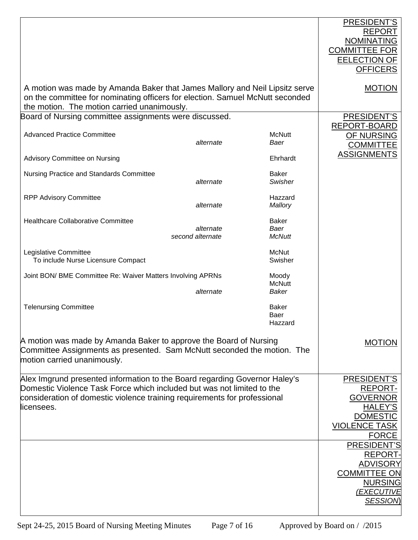|                                                                                                                                                                                                                                                 |                               |                                       | PRESIDENT'S<br><b>REPORT</b><br><b>NOMINATING</b><br><b>COMMITTEE FOR</b><br><b>EELECTION OF</b><br><b>OFFICERS</b>                                                                                             |
|-------------------------------------------------------------------------------------------------------------------------------------------------------------------------------------------------------------------------------------------------|-------------------------------|---------------------------------------|-----------------------------------------------------------------------------------------------------------------------------------------------------------------------------------------------------------------|
| A motion was made by Amanda Baker that James Mallory and Neil Lipsitz serve<br>on the committee for nominating officers for election. Samuel McNutt seconded<br>the motion. The motion carried unanimously.                                     |                               |                                       | <b>MOTION</b>                                                                                                                                                                                                   |
| Board of Nursing committee assignments were discussed.                                                                                                                                                                                          |                               |                                       | PRESIDENT'S                                                                                                                                                                                                     |
| <b>Advanced Practice Committee</b>                                                                                                                                                                                                              | alternate                     | <b>McNutt</b><br>Baer                 | REPORT-BOARD<br>OF NURSING<br><b>COMMITTEE</b>                                                                                                                                                                  |
| Advisory Committee on Nursing                                                                                                                                                                                                                   |                               | Ehrhardt                              | <b>ASSIGNMENTS</b>                                                                                                                                                                                              |
| Nursing Practice and Standards Committee                                                                                                                                                                                                        | alternate                     | <b>Baker</b><br>Swisher               |                                                                                                                                                                                                                 |
| <b>RPP Advisory Committee</b>                                                                                                                                                                                                                   | alternate                     | Hazzard<br>Mallory                    |                                                                                                                                                                                                                 |
| <b>Healthcare Collaborative Committee</b>                                                                                                                                                                                                       | alternate<br>second alternate | <b>Baker</b><br>Baer<br><b>McNutt</b> |                                                                                                                                                                                                                 |
| Legislative Committee<br>To include Nurse Licensure Compact                                                                                                                                                                                     |                               | <b>McNut</b><br>Swisher               |                                                                                                                                                                                                                 |
| Joint BON/ BME Committee Re: Waiver Matters Involving APRNs                                                                                                                                                                                     | alternate                     | Moody<br><b>McNutt</b><br>Baker       |                                                                                                                                                                                                                 |
| <b>Telenursing Committee</b>                                                                                                                                                                                                                    |                               | <b>Baker</b><br>Baer<br>Hazzard       |                                                                                                                                                                                                                 |
| A motion was made by Amanda Baker to approve the Board of Nursing<br>Committee Assignments as presented. Sam McNutt seconded the motion. The<br>motion carried unanimously.                                                                     |                               | <b>MOTION</b>                         |                                                                                                                                                                                                                 |
| Alex Imgrund presented information to the Board regarding Governor Haley's<br>Domestic Violence Task Force which included but was not limited to the<br>consideration of domestic violence training requirements for professional<br>licensees. |                               |                                       | <b>PRESIDENT'S</b><br><b>REPORT-</b><br><b>GOVERNOR</b><br><b>HALEY'S</b><br><b>DOMESTIC</b><br><b>VIOLENCE TASK</b><br><b>FORCE</b><br>PRESIDENT'S<br><b>REPORT-</b><br><b>ADVISORY</b><br><b>COMMITTEE ON</b> |
|                                                                                                                                                                                                                                                 |                               |                                       | <b>NURSING</b><br><u>(EXECUTIVE</u><br><b>SESSION</b>                                                                                                                                                           |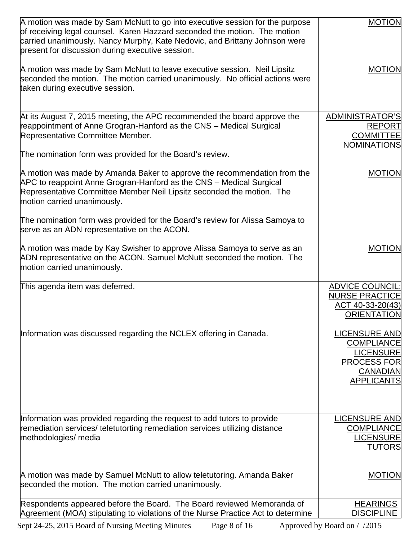| A motion was made by Sam McNutt to go into executive session for the purpose<br>of receiving legal counsel. Karen Hazzard seconded the motion. The motion<br>carried unanimously. Nancy Murphy, Kate Nedovic, and Brittany Johnson were<br>present for discussion during executive session.                                             | <b>MOTION</b>                                                                                                               |
|-----------------------------------------------------------------------------------------------------------------------------------------------------------------------------------------------------------------------------------------------------------------------------------------------------------------------------------------|-----------------------------------------------------------------------------------------------------------------------------|
| A motion was made by Sam McNutt to leave executive session. Neil Lipsitz<br>seconded the motion. The motion carried unanimously. No official actions were<br>taken during executive session.                                                                                                                                            | <b>MOTION</b>                                                                                                               |
| At its August 7, 2015 meeting, the APC recommended the board approve the<br>reappointment of Anne Grogran-Hanford as the CNS - Medical Surgical<br>Representative Committee Member.<br>The nomination form was provided for the Board's review.                                                                                         | ADMINISTRATOR'S<br>REPORT<br><b>COMMITTEE</b><br><b>NOMINATIONS</b>                                                         |
| A motion was made by Amanda Baker to approve the recommendation from the<br>APC to reappoint Anne Grogran-Hanford as the CNS - Medical Surgical<br>Representative Committee Member Neil Lipsitz seconded the motion. The<br>motion carried unanimously.<br>The nomination form was provided for the Board's review for Alissa Samoya to | <b>MOTION</b>                                                                                                               |
| serve as an ADN representative on the ACON.<br>A motion was made by Kay Swisher to approve Alissa Samoya to serve as an<br>ADN representative on the ACON. Samuel McNutt seconded the motion. The<br>motion carried unanimously.                                                                                                        | <b>MOTION</b>                                                                                                               |
| This agenda item was deferred.                                                                                                                                                                                                                                                                                                          | <b>ADVICE COUNCIL:</b><br><b>NURSE PRACTICE</b><br>ACT 40-33-20(43)<br><b>ORIENTATION</b>                                   |
| Information was discussed regarding the NCLEX offering in Canada.                                                                                                                                                                                                                                                                       | <b>LICENSURE AND</b><br><b>COMPLIANCE</b><br><b>LICENSURE</b><br><b>PROCESS FOR</b><br><b>CANADIAN</b><br><b>APPLICANTS</b> |
| Information was provided regarding the request to add tutors to provide<br>remediation services/ teletutorting remediation services utilizing distance<br>methodologies/ media                                                                                                                                                          | <b>LICENSURE AND</b><br><b>COMPLIANCE</b><br><b>LICENSURE</b><br><b>TUTORS</b>                                              |
| A motion was made by Samuel McNutt to allow teletutoring. Amanda Baker<br>seconded the motion. The motion carried unanimously.                                                                                                                                                                                                          | <b>MOTION</b>                                                                                                               |
| Respondents appeared before the Board. The Board reviewed Memoranda of<br>Agreement (MOA) stipulating to violations of the Nurse Practice Act to determine                                                                                                                                                                              | <b>HEARINGS</b><br><b>DISCIPLINE</b>                                                                                        |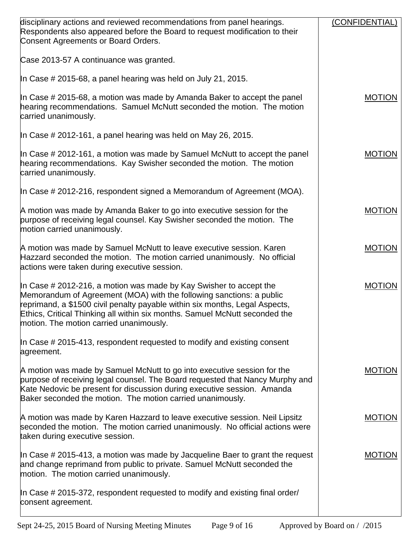| disciplinary actions and reviewed recommendations from panel hearings.<br>Respondents also appeared before the Board to request modification to their<br>Consent Agreements or Board Orders.                                                                                                                                                        | (CONFIDENTIAL) |
|-----------------------------------------------------------------------------------------------------------------------------------------------------------------------------------------------------------------------------------------------------------------------------------------------------------------------------------------------------|----------------|
| Case 2013-57 A continuance was granted.                                                                                                                                                                                                                                                                                                             |                |
| In Case # 2015-68, a panel hearing was held on July 21, 2015.                                                                                                                                                                                                                                                                                       |                |
| In Case # 2015-68, a motion was made by Amanda Baker to accept the panel<br>hearing recommendations. Samuel McNutt seconded the motion. The motion<br>carried unanimously.                                                                                                                                                                          | <b>MOTION</b>  |
| In Case $\#$ 2012-161, a panel hearing was held on May 26, 2015.                                                                                                                                                                                                                                                                                    |                |
| In Case # 2012-161, a motion was made by Samuel McNutt to accept the panel<br>hearing recommendations. Kay Swisher seconded the motion. The motion<br>carried unanimously.                                                                                                                                                                          | <b>MOTION</b>  |
| In Case # 2012-216, respondent signed a Memorandum of Agreement (MOA).                                                                                                                                                                                                                                                                              |                |
| A motion was made by Amanda Baker to go into executive session for the<br>purpose of receiving legal counsel. Kay Swisher seconded the motion. The<br>motion carried unanimously.                                                                                                                                                                   | <b>MOTION</b>  |
| A motion was made by Samuel McNutt to leave executive session. Karen<br>Hazzard seconded the motion. The motion carried unanimously. No official<br>actions were taken during executive session.                                                                                                                                                    | <b>MOTION</b>  |
| In Case # 2012-216, a motion was made by Kay Swisher to accept the<br>Memorandum of Agreement (MOA) with the following sanctions: a public<br>reprimand, a \$1500 civil penalty payable within six months, Legal Aspects,<br>Ethics, Critical Thinking all within six months. Samuel McNutt seconded the<br>motion. The motion carried unanimously. | <b>MOTION</b>  |
| In Case # 2015-413, respondent requested to modify and existing consent<br>agreement.                                                                                                                                                                                                                                                               |                |
| A motion was made by Samuel McNutt to go into executive session for the<br>purpose of receiving legal counsel. The Board requested that Nancy Murphy and<br>Kate Nedovic be present for discussion during executive session. Amanda<br>Baker seconded the motion. The motion carried unanimously.                                                   | <b>MOTION</b>  |
| A motion was made by Karen Hazzard to leave executive session. Neil Lipsitz<br>seconded the motion. The motion carried unanimously. No official actions were<br>taken during executive session.                                                                                                                                                     | <b>MOTION</b>  |
| In Case $\#$ 2015-413, a motion was made by Jacqueline Baer to grant the request<br>and change reprimand from public to private. Samuel McNutt seconded the<br>motion. The motion carried unanimously.                                                                                                                                              | <b>MOTION</b>  |
| In Case # 2015-372, respondent requested to modify and existing final order/<br>consent agreement.                                                                                                                                                                                                                                                  |                |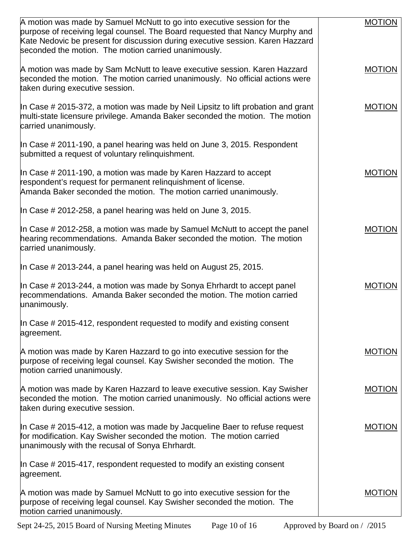| A motion was made by Samuel McNutt to go into executive session for the<br>purpose of receiving legal counsel. The Board requested that Nancy Murphy and                                                  | <b>MOTION</b> |
|-----------------------------------------------------------------------------------------------------------------------------------------------------------------------------------------------------------|---------------|
| Kate Nedovic be present for discussion during executive session. Karen Hazzard<br>seconded the motion. The motion carried unanimously.                                                                    |               |
| A motion was made by Sam McNutt to leave executive session. Karen Hazzard<br>seconded the motion. The motion carried unanimously. No official actions were<br>taken during executive session.             | <b>MOTION</b> |
| In Case # 2015-372, a motion was made by Neil Lipsitz to lift probation and grant<br>multi-state licensure privilege. Amanda Baker seconded the motion. The motion<br>carried unanimously.                | <b>MOTION</b> |
| In Case # 2011-190, a panel hearing was held on June 3, 2015. Respondent<br>submitted a request of voluntary relinguishment.                                                                              |               |
| In Case # 2011-190, a motion was made by Karen Hazzard to accept<br>respondent's request for permanent relinquishment of license.<br>Amanda Baker seconded the motion. The motion carried unanimously.    | <b>MOTION</b> |
| In Case $\#$ 2012-258, a panel hearing was held on June 3, 2015.                                                                                                                                          |               |
| In Case # 2012-258, a motion was made by Samuel McNutt to accept the panel<br>hearing recommendations. Amanda Baker seconded the motion. The motion<br>carried unanimously.                               | <b>MOTION</b> |
| In Case # 2013-244, a panel hearing was held on August 25, 2015.                                                                                                                                          |               |
| In Case # 2013-244, a motion was made by Sonya Ehrhardt to accept panel<br>recommendations. Amanda Baker seconded the motion. The motion carried<br>unanimously.                                          | <b>MOTION</b> |
| In Case # 2015-412, respondent requested to modify and existing consent<br>agreement.                                                                                                                     |               |
| A motion was made by Karen Hazzard to go into executive session for the<br>purpose of receiving legal counsel. Kay Swisher seconded the motion. The<br>motion carried unanimously.                        | <b>MOTION</b> |
| A motion was made by Karen Hazzard to leave executive session. Kay Swisher<br>seconded the motion. The motion carried unanimously. No official actions were<br>taken during executive session.            | <b>MOTION</b> |
| In Case $\#$ 2015-412, a motion was made by Jacqueline Baer to refuse request<br>for modification. Kay Swisher seconded the motion. The motion carried<br>unanimously with the recusal of Sonya Ehrhardt. | <b>MOTION</b> |
| In Case $\#$ 2015-417, respondent requested to modify an existing consent<br>agreement.                                                                                                                   |               |
| A motion was made by Samuel McNutt to go into executive session for the<br>purpose of receiving legal counsel. Kay Swisher seconded the motion. The<br>motion carried unanimously.                        | <b>MOTION</b> |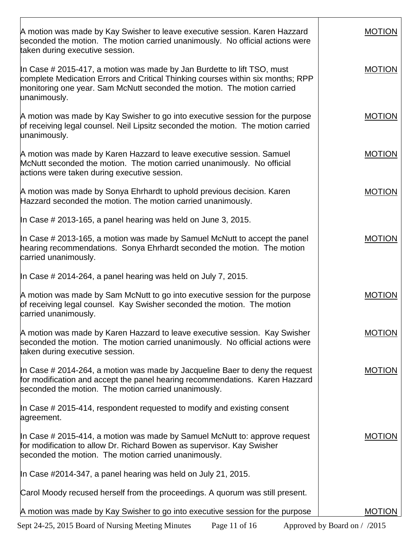| A motion was made by Kay Swisher to leave executive session. Karen Hazzard<br>seconded the motion. The motion carried unanimously. No official actions were<br>taken during executive session.                                                        | <b>MOTION</b> |
|-------------------------------------------------------------------------------------------------------------------------------------------------------------------------------------------------------------------------------------------------------|---------------|
| In Case # 2015-417, a motion was made by Jan Burdette to lift TSO, must<br>complete Medication Errors and Critical Thinking courses within six months; RPP<br>monitoring one year. Sam McNutt seconded the motion. The motion carried<br>unanimously. | <b>MOTION</b> |
| A motion was made by Kay Swisher to go into executive session for the purpose<br>of receiving legal counsel. Neil Lipsitz seconded the motion. The motion carried<br>unanimously.                                                                     | <b>MOTION</b> |
| A motion was made by Karen Hazzard to leave executive session. Samuel<br>McNutt seconded the motion. The motion carried unanimously. No official<br>actions were taken during executive session.                                                      | <b>MOTION</b> |
| A motion was made by Sonya Ehrhardt to uphold previous decision. Karen<br>Hazzard seconded the motion. The motion carried unanimously.                                                                                                                | <b>MOTION</b> |
| In Case $\#$ 2013-165, a panel hearing was held on June 3, 2015.                                                                                                                                                                                      |               |
| In Case # 2013-165, a motion was made by Samuel McNutt to accept the panel<br>hearing recommendations. Sonya Ehrhardt seconded the motion. The motion<br>carried unanimously.                                                                         | <b>MOTION</b> |
| In Case # 2014-264, a panel hearing was held on July 7, 2015.                                                                                                                                                                                         |               |
| A motion was made by Sam McNutt to go into executive session for the purpose<br>of receiving legal counsel. Kay Swisher seconded the motion. The motion<br>carried unanimously.                                                                       | <b>MOTION</b> |
| A motion was made by Karen Hazzard to leave executive session. Kay Swisher<br>seconded the motion. The motion carried unanimously. No official actions were<br>taken during executive session.                                                        | <b>MOTION</b> |
| In Case # 2014-264, a motion was made by Jacqueline Baer to deny the request<br>for modification and accept the panel hearing recommendations. Karen Hazzard<br>seconded the motion. The motion carried unanimously.                                  | <b>MOTION</b> |
| In Case # 2015-414, respondent requested to modify and existing consent<br>agreement.                                                                                                                                                                 |               |
| In Case # 2015-414, a motion was made by Samuel McNutt to: approve request<br>for modification to allow Dr. Richard Bowen as supervisor. Kay Swisher<br>seconded the motion. The motion carried unanimously.                                          | <b>MOTION</b> |
| In Case #2014-347, a panel hearing was held on July 21, 2015.                                                                                                                                                                                         |               |
| Carol Moody recused herself from the proceedings. A quorum was still present.                                                                                                                                                                         |               |
| A motion was made by Kay Swisher to go into executive session for the purpose                                                                                                                                                                         | <b>MOTION</b> |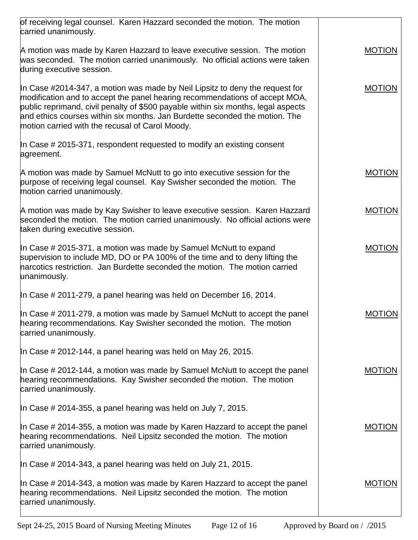| of receiving legal counsel. Karen Hazzard seconded the motion. The motion                                                                                                                                                                                                                                                                                                          |               |
|------------------------------------------------------------------------------------------------------------------------------------------------------------------------------------------------------------------------------------------------------------------------------------------------------------------------------------------------------------------------------------|---------------|
| carried unanimously.                                                                                                                                                                                                                                                                                                                                                               |               |
| A motion was made by Karen Hazzard to leave executive session. The motion<br>was seconded. The motion carried unanimously. No official actions were taken<br>during executive session.                                                                                                                                                                                             | <b>MOTION</b> |
| In Case #2014-347, a motion was made by Neil Lipsitz to deny the request for<br>modification and to accept the panel hearing recommendations of accept MOA,<br>public reprimand, civil penalty of \$500 payable within six months, legal aspects<br>and ethics courses within six months. Jan Burdette seconded the motion. The<br>motion carried with the recusal of Carol Moody. | <b>MOTION</b> |
| In Case $\#$ 2015-371, respondent requested to modify an existing consent<br>agreement.                                                                                                                                                                                                                                                                                            |               |
| A motion was made by Samuel McNutt to go into executive session for the<br>purpose of receiving legal counsel. Kay Swisher seconded the motion. The<br>motion carried unanimously.                                                                                                                                                                                                 | <b>MOTION</b> |
| A motion was made by Kay Swisher to leave executive session. Karen Hazzard<br>seconded the motion. The motion carried unanimously. No official actions were<br>taken during executive session.                                                                                                                                                                                     | <b>MOTION</b> |
| In Case # 2015-371, a motion was made by Samuel McNutt to expand<br>supervision to include MD, DO or PA 100% of the time and to deny lifting the<br>narcotics restriction. Jan Burdette seconded the motion. The motion carried<br>unanimously.                                                                                                                                    | <b>MOTION</b> |
| In Case # 2011-279, a panel hearing was held on December 16, 2014.                                                                                                                                                                                                                                                                                                                 |               |
| In Case # 2011-279, a motion was made by Samuel McNutt to accept the panel<br>hearing recommendations. Kay Swisher seconded the motion. The motion<br>carried unanimously.                                                                                                                                                                                                         | <b>MOTION</b> |
| In Case # 2012-144, a panel hearing was held on May 26, 2015.                                                                                                                                                                                                                                                                                                                      |               |
| In Case # 2012-144, a motion was made by Samuel McNutt to accept the panel<br>hearing recommendations. Kay Swisher seconded the motion. The motion<br>carried unanimously.                                                                                                                                                                                                         | <b>MOTION</b> |
| In Case # 2014-355, a panel hearing was held on July 7, 2015.                                                                                                                                                                                                                                                                                                                      |               |
| In Case $\#$ 2014-355, a motion was made by Karen Hazzard to accept the panel<br>hearing recommendations. Neil Lipsitz seconded the motion. The motion<br>carried unanimously.                                                                                                                                                                                                     | <b>MOTION</b> |
| In Case $\#$ 2014-343, a panel hearing was held on July 21, 2015.                                                                                                                                                                                                                                                                                                                  |               |
| In Case $\#$ 2014-343, a motion was made by Karen Hazzard to accept the panel<br>hearing recommendations. Neil Lipsitz seconded the motion. The motion<br>carried unanimously.                                                                                                                                                                                                     | <b>MOTION</b> |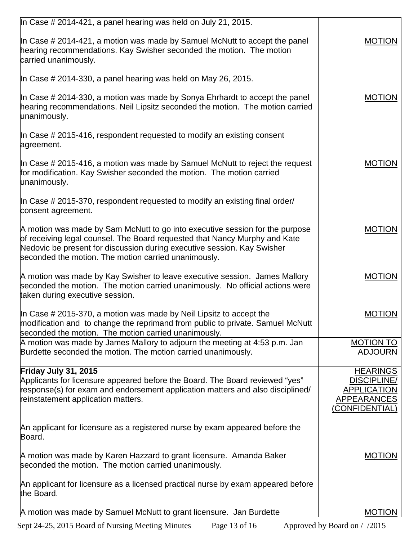| In Case # 2014-421, a panel hearing was held on July 21, 2015.                                                                                                                                                                                                                                |                                                                                  |
|-----------------------------------------------------------------------------------------------------------------------------------------------------------------------------------------------------------------------------------------------------------------------------------------------|----------------------------------------------------------------------------------|
|                                                                                                                                                                                                                                                                                               |                                                                                  |
| In Case # 2014-421, a motion was made by Samuel McNutt to accept the panel<br>hearing recommendations. Kay Swisher seconded the motion. The motion<br>carried unanimously.                                                                                                                    | <b>MOTION</b>                                                                    |
| In Case # 2014-330, a panel hearing was held on May 26, 2015.                                                                                                                                                                                                                                 |                                                                                  |
| In Case $\#$ 2014-330, a motion was made by Sonya Ehrhardt to accept the panel<br>hearing recommendations. Neil Lipsitz seconded the motion. The motion carried<br>unanimously.                                                                                                               | <b>MOTION</b>                                                                    |
| In Case $\#$ 2015-416, respondent requested to modify an existing consent<br>agreement.                                                                                                                                                                                                       |                                                                                  |
| In Case $\#$ 2015-416, a motion was made by Samuel McNutt to reject the request<br>for modification. Kay Swisher seconded the motion. The motion carried<br>unanimously.                                                                                                                      | <b>MOTION</b>                                                                    |
| In Case # 2015-370, respondent requested to modify an existing final order/<br>consent agreement.                                                                                                                                                                                             |                                                                                  |
| A motion was made by Sam McNutt to go into executive session for the purpose<br>of receiving legal counsel. The Board requested that Nancy Murphy and Kate<br>Nedovic be present for discussion during executive session. Kay Swisher<br>seconded the motion. The motion carried unanimously. | <b>MOTION</b>                                                                    |
| A motion was made by Kay Swisher to leave executive session. James Mallory<br>seconded the motion. The motion carried unanimously. No official actions were<br>taken during executive session.                                                                                                | <b>MOTION</b>                                                                    |
| In Case $\#$ 2015-370, a motion was made by Neil Lipsitz to accept the<br>modification and to change the reprimand from public to private. Samuel McNutt<br>seconded the motion. The motion carried unanimously.                                                                              | <b>MOTION</b>                                                                    |
| A motion was made by James Mallory to adjourn the meeting at 4:53 p.m. Jan<br>Burdette seconded the motion. The motion carried unanimously.                                                                                                                                                   | <b>MOTION TO</b><br><b>ADJOURN</b>                                               |
| Friday July 31, 2015                                                                                                                                                                                                                                                                          | <b>HEARINGS</b>                                                                  |
| Applicants for licensure appeared before the Board. The Board reviewed "yes"<br>response(s) for exam and endorsement application matters and also disciplined/<br>reinstatement application matters.                                                                                          | <b>DISCIPLINE/</b><br><b>APPLICATION</b><br><b>APPEARANCES</b><br>(CONFIDENTIAL) |
| An applicant for licensure as a registered nurse by exam appeared before the<br>Board.                                                                                                                                                                                                        |                                                                                  |
| A motion was made by Karen Hazzard to grant licensure. Amanda Baker<br>seconded the motion. The motion carried unanimously.                                                                                                                                                                   | <b>MOTION</b>                                                                    |
| An applicant for licensure as a licensed practical nurse by exam appeared before<br>the Board.                                                                                                                                                                                                |                                                                                  |
| A motion was made by Samuel McNutt to grant licensure. Jan Burdette                                                                                                                                                                                                                           | <b>MOTION</b>                                                                    |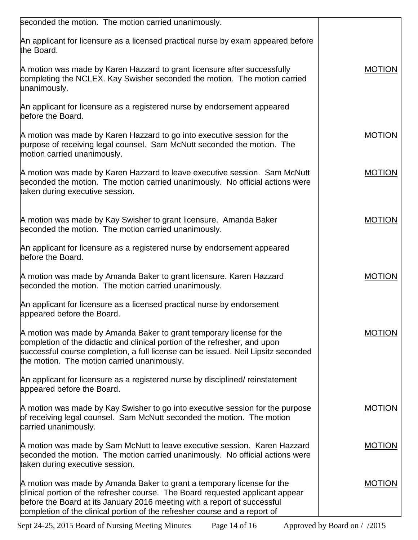| seconded the motion. The motion carried unanimously.                                                                                                                                                                                                                                                               |               |
|--------------------------------------------------------------------------------------------------------------------------------------------------------------------------------------------------------------------------------------------------------------------------------------------------------------------|---------------|
| An applicant for licensure as a licensed practical nurse by exam appeared before<br>the Board.                                                                                                                                                                                                                     |               |
| A motion was made by Karen Hazzard to grant licensure after successfully<br>completing the NCLEX. Kay Swisher seconded the motion. The motion carried<br>unanimously.                                                                                                                                              | <b>MOTION</b> |
| An applicant for licensure as a registered nurse by endorsement appeared<br>before the Board.                                                                                                                                                                                                                      |               |
| A motion was made by Karen Hazzard to go into executive session for the<br>purpose of receiving legal counsel. Sam McNutt seconded the motion. The<br>motion carried unanimously.                                                                                                                                  | <b>MOTION</b> |
| A motion was made by Karen Hazzard to leave executive session. Sam McNutt<br>seconded the motion. The motion carried unanimously. No official actions were<br>taken during executive session.                                                                                                                      | <b>MOTION</b> |
| A motion was made by Kay Swisher to grant licensure. Amanda Baker<br>seconded the motion. The motion carried unanimously.                                                                                                                                                                                          | <b>MOTION</b> |
| An applicant for licensure as a registered nurse by endorsement appeared<br>before the Board.                                                                                                                                                                                                                      |               |
| A motion was made by Amanda Baker to grant licensure. Karen Hazzard<br>seconded the motion. The motion carried unanimously.                                                                                                                                                                                        | <b>MOTION</b> |
| An applicant for licensure as a licensed practical nurse by endorsement<br>appeared before the Board.                                                                                                                                                                                                              |               |
| A motion was made by Amanda Baker to grant temporary license for the<br>completion of the didactic and clinical portion of the refresher, and upon<br>successful course completion, a full license can be issued. Neil Lipsitz seconded<br>the motion. The motion carried unanimously.                             | <b>MOTION</b> |
| An applicant for licensure as a registered nurse by disciplined/ reinstatement<br>appeared before the Board.                                                                                                                                                                                                       |               |
| A motion was made by Kay Swisher to go into executive session for the purpose<br>of receiving legal counsel. Sam McNutt seconded the motion. The motion<br>carried unanimously.                                                                                                                                    | <b>MOTION</b> |
| A motion was made by Sam McNutt to leave executive session. Karen Hazzard<br>seconded the motion. The motion carried unanimously. No official actions were<br>taken during executive session.                                                                                                                      | <b>MOTION</b> |
| A motion was made by Amanda Baker to grant a temporary license for the<br>clinical portion of the refresher course. The Board requested applicant appear<br>before the Board at its January 2016 meeting with a report of successful<br>completion of the clinical portion of the refresher course and a report of | <b>MOTION</b> |

Sept 24-25, 2015 Board of Nursing Meeting Minutes Page 14 of 16 Approved by Board on / /2015